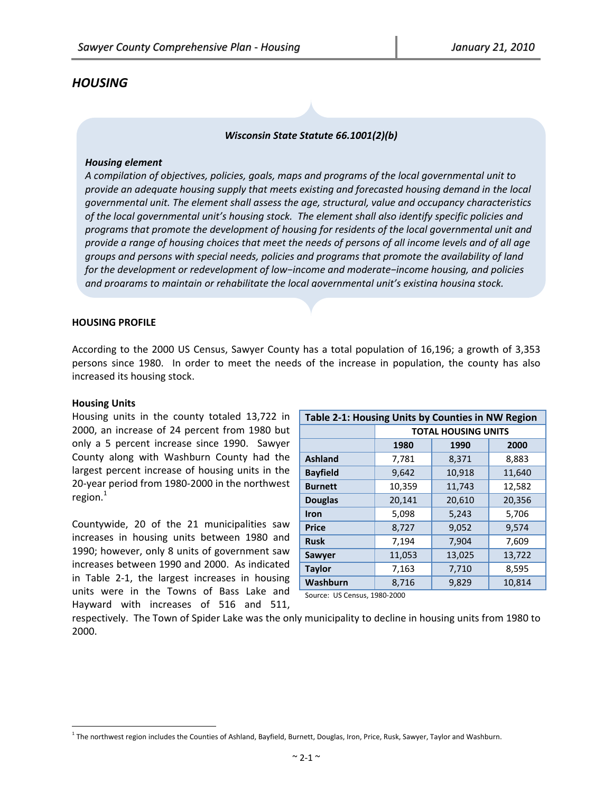# *HOUSING*

#### *Wisconsin State Statute 66.1001(2)(b)*

#### *Housing element*

*A compilation of objectives, policies, goals, maps and programs of the local governmental unit to provide an adequate housing supply that meets existing and forecasted housing demand in the local governmental unit. The element shall assess the age, structural, value and occupancy characteristics of the local governmental unit's housing stock. The element shall also identify specific policies and programs that promote the development of housing for residents of the local governmental unit and* provide a range of housing choices that meet the needs of persons of all income levels and of all age *groups and persons with special needs, policies and programs that promote the availability of land for the development or redevelopment of low−income and moderate−income housing, and policies and programs to maintain or rehabilitate the local governmental unit's existing housing stock.*

## **HOUSING PROFILE**

According to the 2000 US Census, Sawyer County has a total population of 16,196; a growth of 3,353 persons since 1980. In order to meet the needs of the increase in population, the county has also increased its housing stock.

#### **Housing Units**

 $\overline{a}$ 

Housing units in the county totaled 13,722 in 2000, an increase of 24 percent from 1980 but only a 5 percent increase since 1990. Sawyer County along with Washburn County had the largest percent increase of housing units in the 20‐year period from 1980‐2000 in the northwest region. $<sup>1</sup>$ </sup>

Countywide, 20 of the 21 municipalities saw increases in housing units between 1980 and 1990; however, only 8 units of government saw increases between 1990 and 2000. As indicated in Table 2‐1, the largest increases in housing units were in the Towns of Bass Lake and Hayward with increases of 516 and 511,

| Table 2-1: Housing Units by Counties in NW Region |                            |        |        |  |  |  |  |  |  |  |
|---------------------------------------------------|----------------------------|--------|--------|--|--|--|--|--|--|--|
|                                                   | <b>TOTAL HOUSING UNITS</b> |        |        |  |  |  |  |  |  |  |
|                                                   | 1990<br>1980<br>2000       |        |        |  |  |  |  |  |  |  |
| <b>Ashland</b>                                    | 7,781                      | 8,371  | 8,883  |  |  |  |  |  |  |  |
| <b>Bayfield</b>                                   | 9,642                      | 10,918 | 11,640 |  |  |  |  |  |  |  |
| <b>Burnett</b>                                    | 10,359                     | 11,743 | 12,582 |  |  |  |  |  |  |  |
| <b>Douglas</b>                                    | 20,141                     | 20,610 | 20,356 |  |  |  |  |  |  |  |
| Iron                                              | 5,098                      | 5,243  | 5,706  |  |  |  |  |  |  |  |
| <b>Price</b>                                      | 8,727                      | 9,052  | 9,574  |  |  |  |  |  |  |  |
| <b>Rusk</b>                                       | 7,194                      | 7,904  | 7,609  |  |  |  |  |  |  |  |
| Sawyer                                            | 11,053                     | 13,025 | 13,722 |  |  |  |  |  |  |  |
| <b>Taylor</b>                                     | 7,163                      | 7,710  | 8,595  |  |  |  |  |  |  |  |
| Washburn                                          | 8,716                      | 9,829  | 10,814 |  |  |  |  |  |  |  |

Source: US Census, 1980‐2000

respectively. The Town of Spider Lake was the only municipality to decline in housing units from 1980 to 2000.

 $1$  The northwest region includes the Counties of Ashland, Bayfield, Burnett, Douglas, Iron, Price, Rusk, Sawyer, Taylor and Washburn.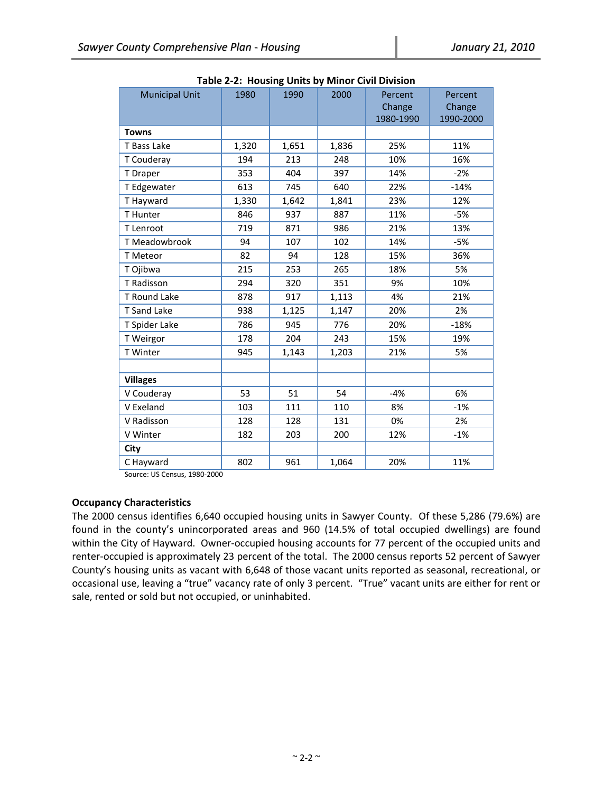| <b>Municipal Unit</b>               | <b>Nabic 2-2. Housing Units by Millor Civil Division</b><br>1980 | 1990  | 2000  | Percent   | Percent   |
|-------------------------------------|------------------------------------------------------------------|-------|-------|-----------|-----------|
|                                     |                                                                  |       |       | Change    | Change    |
|                                     |                                                                  |       |       | 1980-1990 | 1990-2000 |
| <b>Towns</b>                        |                                                                  |       |       |           |           |
| T Bass Lake                         | 1,320                                                            | 1,651 | 1,836 | 25%       | 11%       |
| T Couderay                          | 194                                                              | 213   | 248   | 10%       | 16%       |
| T Draper                            | 353                                                              | 404   | 397   | 14%       | $-2%$     |
| T Edgewater                         | 613                                                              | 745   | 640   | 22%       | $-14%$    |
| T Hayward                           | 1,330                                                            | 1,642 | 1,841 | 23%       | 12%       |
| T Hunter                            | 846                                                              | 937   | 887   | 11%       | -5%       |
| T Lenroot                           | 719                                                              | 871   | 986   | 21%       | 13%       |
| T Meadowbrook                       | 94                                                               | 107   | 102   | 14%       | $-5%$     |
| T Meteor                            | 82                                                               | 94    | 128   | 15%       | 36%       |
| T Ojibwa                            | 215                                                              | 253   | 265   | 18%       | 5%        |
| T Radisson                          | 294                                                              | 320   | 351   | 9%        | 10%       |
| T Round Lake                        | 878                                                              | 917   | 1,113 | 4%        | 21%       |
| <b>T</b> Sand Lake                  | 938                                                              | 1,125 | 1,147 | 20%       | 2%        |
| T Spider Lake                       | 786                                                              | 945   | 776   | 20%       | $-18%$    |
| T Weirgor                           | 178                                                              | 204   | 243   | 15%       | 19%       |
| T Winter                            | 945                                                              | 1,143 | 1,203 | 21%       | 5%        |
|                                     |                                                                  |       |       |           |           |
| <b>Villages</b>                     |                                                                  |       |       |           |           |
| V Couderay                          | 53                                                               | 51    | 54    | $-4%$     | 6%        |
| V Exeland                           | 103                                                              | 111   | 110   | 8%        | $-1%$     |
| V Radisson                          | 128                                                              | 128   | 131   | 0%        | 2%        |
| V Winter                            | 182                                                              | 203   | 200   | 12%       | $-1%$     |
| City                                |                                                                  |       |       |           |           |
| C Hayward<br>$\cdots$<br>1000, 2000 | 802                                                              | 961   | 1,064 | 20%       | 11%       |

**Table 2‐2: Housing Units by Minor Civil Division**

Source: US Census, 1980‐2000

# **Occupancy Characteristics**

The 2000 census identifies 6,640 occupied housing units in Sawyer County. Of these 5,286 (79.6%) are found in the county's unincorporated areas and 960 (14.5% of total occupied dwellings) are found within the City of Hayward. Owner-occupied housing accounts for 77 percent of the occupied units and renter‐occupied is approximately 23 percent of the total. The 2000 census reports 52 percent of Sawyer County's housing units as vacant with 6,648 of those vacant units reported as seasonal, recreational, or occasional use, leaving a "true" vacancy rate of only 3 percent. "True" vacant units are either for rent or sale, rented or sold but not occupied, or uninhabited.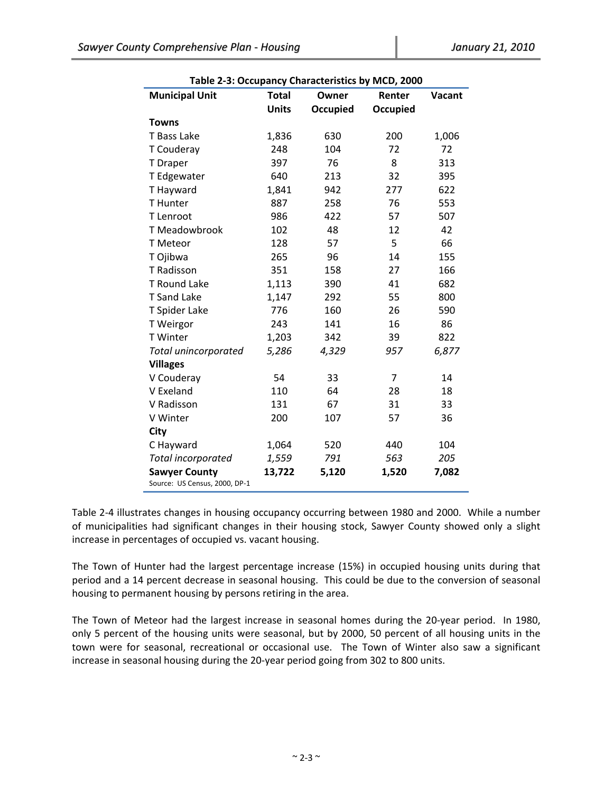| Table 2-3: Occupancy Characteristics by MCD, 2000     |              |          |                 |        |  |  |  |  |  |  |
|-------------------------------------------------------|--------------|----------|-----------------|--------|--|--|--|--|--|--|
| <b>Municipal Unit</b>                                 | <b>Total</b> | Owner    | Renter          | Vacant |  |  |  |  |  |  |
|                                                       | <b>Units</b> | Occupied | <b>Occupied</b> |        |  |  |  |  |  |  |
| <b>Towns</b>                                          |              |          |                 |        |  |  |  |  |  |  |
| T Bass Lake                                           | 1,836        | 630      | 200             | 1,006  |  |  |  |  |  |  |
| T Couderay                                            | 248          | 104      | 72              | 72     |  |  |  |  |  |  |
| T Draper                                              | 397          | 76       | 8               | 313    |  |  |  |  |  |  |
| T Edgewater                                           | 640          | 213      | 32              | 395    |  |  |  |  |  |  |
| T Hayward                                             | 1,841        | 942      | 277             | 622    |  |  |  |  |  |  |
| <b>T</b> Hunter                                       | 887          | 258      | 76              | 553    |  |  |  |  |  |  |
| T Lenroot                                             | 986          | 422      | 57              | 507    |  |  |  |  |  |  |
| T Meadowbrook                                         | 102          | 48       | 12              | 42     |  |  |  |  |  |  |
| T Meteor                                              | 128          | 57       | 5               | 66     |  |  |  |  |  |  |
| T Ojibwa                                              | 265          | 96       | 14              | 155    |  |  |  |  |  |  |
| T Radisson                                            | 351          | 158      | 27              | 166    |  |  |  |  |  |  |
| T Round Lake                                          | 1,113        | 390      | 41              | 682    |  |  |  |  |  |  |
| <b>T</b> Sand Lake                                    | 1,147        | 292      | 55              | 800    |  |  |  |  |  |  |
| T Spider Lake                                         | 776          | 160      | 26              | 590    |  |  |  |  |  |  |
| T Weirgor                                             | 243          | 141      | 16              | 86     |  |  |  |  |  |  |
| T Winter                                              | 1,203        | 342      | 39              | 822    |  |  |  |  |  |  |
| Total unincorporated                                  | 5,286        | 4,329    | 957             | 6,877  |  |  |  |  |  |  |
| <b>Villages</b>                                       |              |          |                 |        |  |  |  |  |  |  |
| V Couderay                                            | 54           | 33       | $\overline{7}$  | 14     |  |  |  |  |  |  |
| V Exeland                                             | 110          | 64       | 28              | 18     |  |  |  |  |  |  |
| V Radisson                                            | 131          | 67       | 31              | 33     |  |  |  |  |  |  |
| V Winter                                              | 200          | 107      | 57              | 36     |  |  |  |  |  |  |
| City                                                  |              |          |                 |        |  |  |  |  |  |  |
| C Hayward                                             | 1,064        | 520      | 440             | 104    |  |  |  |  |  |  |
| Total incorporated                                    | 1,559        | 791      | 563             | 205    |  |  |  |  |  |  |
| <b>Sawyer County</b><br>Source: US Census, 2000, DP-1 | 13,722       | 5,120    | 1,520           | 7,082  |  |  |  |  |  |  |

**Table 2‐3: Occupancy Characteristics by MCD, 2000**

Table 2‐4 illustrates changes in housing occupancy occurring between 1980 and 2000. While a number of municipalities had significant changes in their housing stock, Sawyer County showed only a slight increase in percentages of occupied vs. vacant housing.

The Town of Hunter had the largest percentage increase (15%) in occupied housing units during that period and a 14 percent decrease in seasonal housing. This could be due to the conversion of seasonal housing to permanent housing by persons retiring in the area.

The Town of Meteor had the largest increase in seasonal homes during the 20‐year period. In 1980, only 5 percent of the housing units were seasonal, but by 2000, 50 percent of all housing units in the town were for seasonal, recreational or occasional use. The Town of Winter also saw a significant increase in seasonal housing during the 20‐year period going from 302 to 800 units.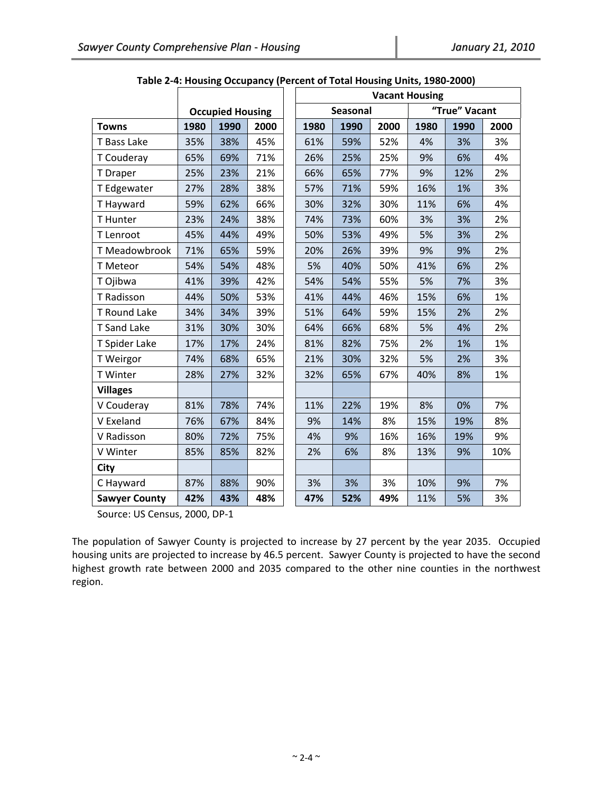|                      |      |                         |      | <b>Vacant Housing</b> |          |      |      |               |      |
|----------------------|------|-------------------------|------|-----------------------|----------|------|------|---------------|------|
|                      |      | <b>Occupied Housing</b> |      |                       | Seasonal |      |      | "True" Vacant |      |
| <b>Towns</b>         | 1980 | 1990                    | 2000 | 1980                  | 1990     | 2000 | 1980 | 1990          | 2000 |
| T Bass Lake          | 35%  | 38%                     | 45%  | 61%                   | 59%      | 52%  | 4%   | 3%            | 3%   |
| T Couderay           | 65%  | 69%                     | 71%  | 26%                   | 25%      | 25%  | 9%   | 6%            | 4%   |
| T Draper             | 25%  | 23%                     | 21%  | 66%                   | 65%      | 77%  | 9%   | 12%           | 2%   |
| T Edgewater          | 27%  | 28%                     | 38%  | 57%                   | 71%      | 59%  | 16%  | 1%            | 3%   |
| T Hayward            | 59%  | 62%                     | 66%  | 30%                   | 32%      | 30%  | 11%  | 6%            | 4%   |
| T Hunter             | 23%  | 24%                     | 38%  | 74%                   | 73%      | 60%  | 3%   | 3%            | 2%   |
| T Lenroot            | 45%  | 44%                     | 49%  | 50%                   | 53%      | 49%  | 5%   | 3%            | 2%   |
| T Meadowbrook        | 71%  | 65%                     | 59%  | 20%                   | 26%      | 39%  | 9%   | 9%            | 2%   |
| T Meteor             | 54%  | 54%                     | 48%  | 5%                    | 40%      | 50%  | 41%  | 6%            | 2%   |
| T Ojibwa             | 41%  | 39%                     | 42%  | 54%                   | 54%      | 55%  | 5%   | 7%            | 3%   |
| T Radisson           | 44%  | 50%                     | 53%  | 41%                   | 44%      | 46%  | 15%  | 6%            | 1%   |
| <b>T Round Lake</b>  | 34%  | 34%                     | 39%  | 51%                   | 64%      | 59%  | 15%  | 2%            | 2%   |
| <b>T</b> Sand Lake   | 31%  | 30%                     | 30%  | 64%                   | 66%      | 68%  | 5%   | 4%            | 2%   |
| T Spider Lake        | 17%  | 17%                     | 24%  | 81%                   | 82%      | 75%  | 2%   | 1%            | 1%   |
| T Weirgor            | 74%  | 68%                     | 65%  | 21%                   | 30%      | 32%  | 5%   | 2%            | 3%   |
| <b>T</b> Winter      | 28%  | 27%                     | 32%  | 32%                   | 65%      | 67%  | 40%  | 8%            | 1%   |
| <b>Villages</b>      |      |                         |      |                       |          |      |      |               |      |
| V Couderay           | 81%  | 78%                     | 74%  | 11%                   | 22%      | 19%  | 8%   | 0%            | 7%   |
| V Exeland            | 76%  | 67%                     | 84%  | 9%                    | 14%      | 8%   | 15%  | 19%           | 8%   |
| V Radisson           | 80%  | 72%                     | 75%  | 4%                    | 9%       | 16%  | 16%  | 19%           | 9%   |
| V Winter             | 85%  | 85%                     | 82%  | 2%                    | 6%       | 8%   | 13%  | 9%            | 10%  |
| City                 |      |                         |      |                       |          |      |      |               |      |
| C Hayward            | 87%  | 88%                     | 90%  | 3%                    | 3%       | 3%   | 10%  | 9%            | 7%   |
| <b>Sawyer County</b> | 42%  | 43%                     | 48%  | 47%                   | 52%      | 49%  | 11%  | 5%            | 3%   |

**Table 2‐4: Housing Occupancy (Percent of Total Housing Units, 1980‐2000)**

Source: US Census, 2000, DP‐1

The population of Sawyer County is projected to increase by 27 percent by the year 2035. Occupied housing units are projected to increase by 46.5 percent. Sawyer County is projected to have the second highest growth rate between 2000 and 2035 compared to the other nine counties in the northwest region.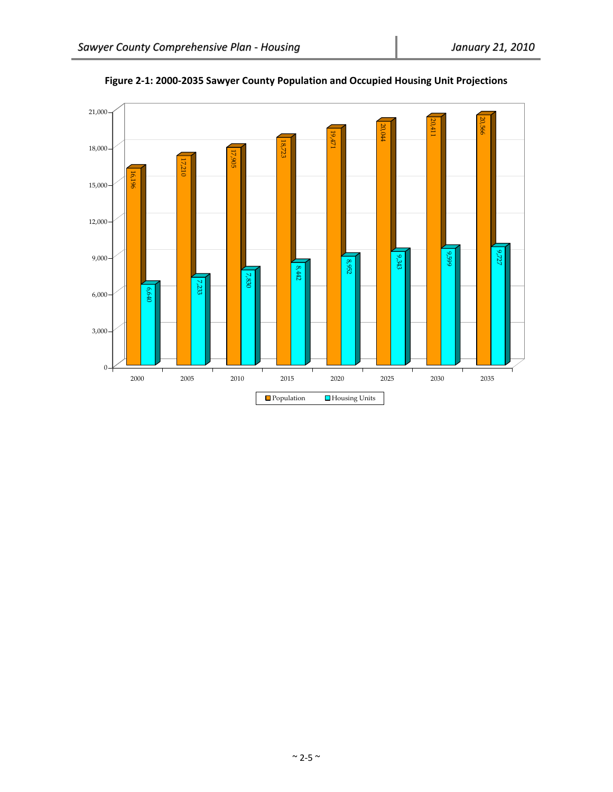

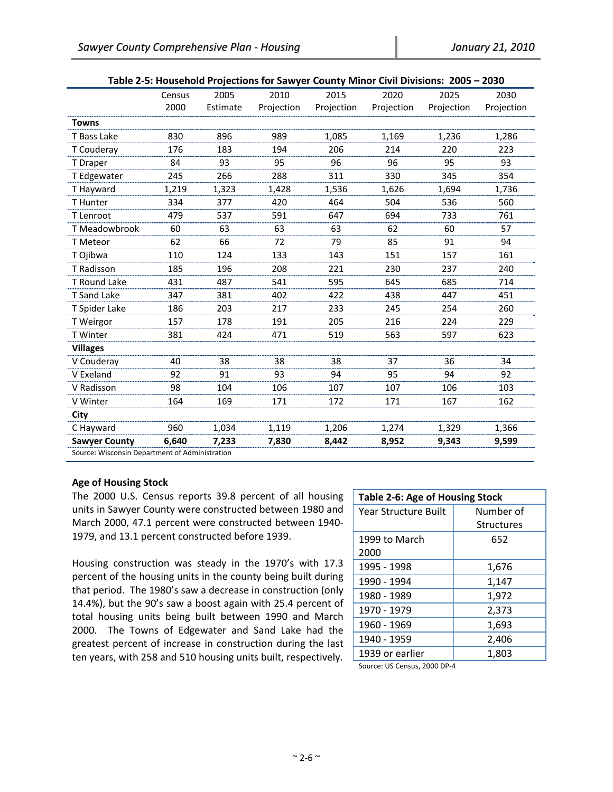| rapic 2-3. Household Frojections for sawyer county frinter civil Divisions. 2003<br>ムソJV |                                                |          |            |            |            |            |            |  |  |  |
|------------------------------------------------------------------------------------------|------------------------------------------------|----------|------------|------------|------------|------------|------------|--|--|--|
|                                                                                          | Census                                         | 2005     | 2010       | 2015       | 2020       | 2025       | 2030       |  |  |  |
|                                                                                          | 2000                                           | Estimate | Projection | Projection | Projection | Projection | Projection |  |  |  |
| <b>Towns</b>                                                                             |                                                |          |            |            |            |            |            |  |  |  |
| T Bass Lake                                                                              | 830                                            | 896      | 989        | 1,085      | 1,169      | 1,236      | 1,286      |  |  |  |
| T Couderay                                                                               | 176                                            | 183      | 194        | 206        | 214        | 220        | 223        |  |  |  |
| T Draper                                                                                 | 84                                             | 93       | 95         | 96         | 96         | 95         | 93         |  |  |  |
| T Edgewater                                                                              | 245                                            | 266      | 288        | 311        | 330        | 345        | 354        |  |  |  |
| T Hayward                                                                                | 1,219                                          | 1,323    | 1,428      | 1,536      | 1,626      | 1,694      | 1,736      |  |  |  |
| T Hunter                                                                                 | 334                                            | 377      | 420        | 464        | 504        | 536        | 560        |  |  |  |
| T Lenroot                                                                                | 479                                            | 537      | 591        | 647        | 694        | 733        | 761        |  |  |  |
| T Meadowbrook                                                                            | 60                                             | 63       | 63         | 63         | 62         | 60         | 57         |  |  |  |
| T Meteor                                                                                 | 62                                             | 66       | 72         | 79         | 85         | 91         | 94         |  |  |  |
| T Ojibwa                                                                                 | 110                                            | 124      | 133        | 143        | 151        | 157        | 161        |  |  |  |
| T Radisson                                                                               | 185                                            | 196      | 208        | 221        | 230        | 237        | 240        |  |  |  |
| T Round Lake                                                                             | 431                                            | 487      | 541        | 595        | 645        | 685        | 714        |  |  |  |
| <b>T</b> Sand Lake                                                                       | 347                                            | 381      | 402        | 422        | 438        | 447        | 451        |  |  |  |
| T Spider Lake                                                                            | 186                                            | 203      | 217        | 233        | 245        | 254        | 260        |  |  |  |
| T Weirgor                                                                                | 157                                            | 178      | 191        | 205        | 216        | 224        | 229        |  |  |  |
| T Winter                                                                                 | 381                                            | 424      | 471        | 519        | 563        | 597        | 623        |  |  |  |
| <b>Villages</b>                                                                          |                                                |          |            |            |            |            |            |  |  |  |
| V Couderay                                                                               | 40                                             | 38       | 38         | 38         | 37         | 36         | 34         |  |  |  |
| V Exeland                                                                                | 92                                             | 91       | 93         | 94         | 95         | 94         | 92         |  |  |  |
| V Radisson                                                                               | 98                                             | 104      | 106        | 107        | 107        | 106        | 103        |  |  |  |
| V Winter                                                                                 | 164                                            | 169      | 171        | 172        | 171        | 167        | 162        |  |  |  |
| City                                                                                     |                                                |          |            |            |            |            |            |  |  |  |
| C Hayward                                                                                | 960                                            | 1,034    | 1,119      | 1,206      | 1,274      | 1,329      | 1,366      |  |  |  |
| <b>Sawyer County</b>                                                                     | 6,640                                          | 7,233    | 7,830      | 8,442      | 8,952      | 9,343      | 9,599      |  |  |  |
|                                                                                          | Source: Wisconsin Department of Administration |          |            |            |            |            |            |  |  |  |

| Table 2-5: Household Projections for Sawyer County Minor Civil Divisions: 2005 - 2030 |  |
|---------------------------------------------------------------------------------------|--|
|                                                                                       |  |

# **Age of Housing Stock**

The 2000 U.S. Census reports 39.8 percent of all housing units in Sawyer County were constructed between 1980 and March 2000, 47.1 percent were constructed between 1940‐ 1979, and 13.1 percent constructed before 1939.

Housing construction was steady in the 1970's with 17.3 percent of the housing units in the county being built during that period. The 1980's saw a decrease in construction (only 14.4%), but the 90's saw a boost again with 25.4 percent of total housing units being built between 1990 and March 2000. The Towns of Edgewater and Sand Lake had the greatest percent of increase in construction during the last ten years, with 258 and 510 housing units built, respectively.

| Table 2-6: Age of Housing Stock |                   |  |  |  |  |  |  |
|---------------------------------|-------------------|--|--|--|--|--|--|
| <b>Year Structure Built</b>     | Number of         |  |  |  |  |  |  |
|                                 | <b>Structures</b> |  |  |  |  |  |  |
| 1999 to March                   | 652               |  |  |  |  |  |  |
| 2000                            |                   |  |  |  |  |  |  |
| 1995 - 1998                     | 1,676             |  |  |  |  |  |  |
| 1990 - 1994                     | 1,147             |  |  |  |  |  |  |
| 1980 - 1989                     | 1,972             |  |  |  |  |  |  |
| 1970 - 1979                     | 2,373             |  |  |  |  |  |  |
| 1960 - 1969                     | 1,693             |  |  |  |  |  |  |
| 1940 - 1959                     | 2,406             |  |  |  |  |  |  |
| 1939 or earlier                 | 1,803             |  |  |  |  |  |  |
| $200000$                        |                   |  |  |  |  |  |  |

Source: US Census, 2000 DP‐4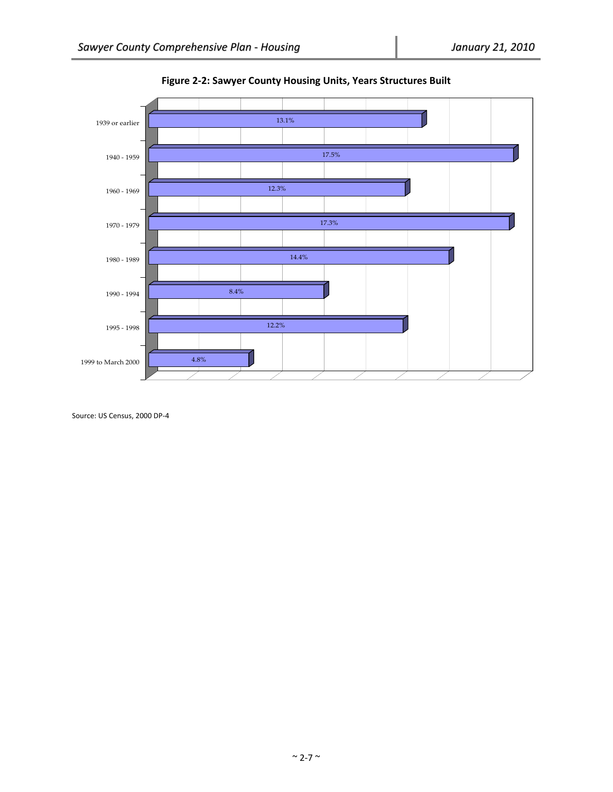

**Figure 2‐2: Sawyer County Housing Units, Years Structures Built**

Source: US Census, 2000 DP‐4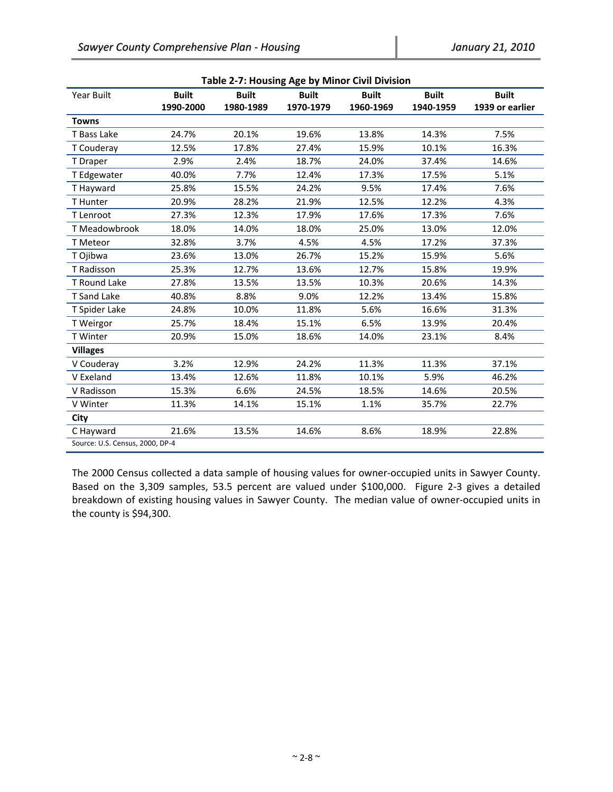| Table 2-7: Housing Age by Minor Civil Division |              |              |              |              |              |                 |  |  |  |  |  |
|------------------------------------------------|--------------|--------------|--------------|--------------|--------------|-----------------|--|--|--|--|--|
| Year Built                                     | <b>Built</b> | <b>Built</b> | <b>Built</b> | <b>Built</b> | <b>Built</b> | <b>Built</b>    |  |  |  |  |  |
|                                                | 1990-2000    | 1980-1989    | 1970-1979    | 1960-1969    | 1940-1959    | 1939 or earlier |  |  |  |  |  |
| <b>Towns</b>                                   |              |              |              |              |              |                 |  |  |  |  |  |
| T Bass Lake                                    | 24.7%        | 20.1%        | 19.6%        | 13.8%        | 14.3%        | 7.5%            |  |  |  |  |  |
| T Couderay                                     | 12.5%        | 17.8%        | 27.4%        | 15.9%        | 10.1%        | 16.3%           |  |  |  |  |  |
| T Draper                                       | 2.9%         | 2.4%         | 18.7%        | 24.0%        | 37.4%        | 14.6%           |  |  |  |  |  |
| T Edgewater                                    | 40.0%        | 7.7%         | 12.4%        | 17.3%        | 17.5%        | 5.1%            |  |  |  |  |  |
| T Hayward                                      | 25.8%        | 15.5%        | 24.2%        | 9.5%         | 17.4%        | 7.6%            |  |  |  |  |  |
| T Hunter                                       | 20.9%        | 28.2%        | 21.9%        | 12.5%        | 12.2%        | 4.3%            |  |  |  |  |  |
| T Lenroot                                      | 27.3%        | 12.3%        | 17.9%        | 17.6%        | 17.3%        | 7.6%            |  |  |  |  |  |
| T Meadowbrook                                  | 18.0%        | 14.0%        | 18.0%        | 25.0%        | 13.0%        | 12.0%           |  |  |  |  |  |
| T Meteor                                       | 32.8%        | 3.7%         | 4.5%         | 4.5%         | 17.2%        | 37.3%           |  |  |  |  |  |
| T Ojibwa                                       | 23.6%        | 13.0%        | 26.7%        | 15.2%        | 15.9%        | 5.6%            |  |  |  |  |  |
| T Radisson                                     | 25.3%        | 12.7%        | 13.6%        | 12.7%        | 15.8%        | 19.9%           |  |  |  |  |  |
| T Round Lake                                   | 27.8%        | 13.5%        | 13.5%        | 10.3%        | 20.6%        | 14.3%           |  |  |  |  |  |
| T Sand Lake                                    | 40.8%        | 8.8%         | 9.0%         | 12.2%        | 13.4%        | 15.8%           |  |  |  |  |  |
| T Spider Lake                                  | 24.8%        | 10.0%        | 11.8%        | 5.6%         | 16.6%        | 31.3%           |  |  |  |  |  |
| T Weirgor                                      | 25.7%        | 18.4%        | 15.1%        | 6.5%         | 13.9%        | 20.4%           |  |  |  |  |  |
| T Winter                                       | 20.9%        | 15.0%        | 18.6%        | 14.0%        | 23.1%        | 8.4%            |  |  |  |  |  |
| <b>Villages</b>                                |              |              |              |              |              |                 |  |  |  |  |  |
| V Couderay                                     | 3.2%         | 12.9%        | 24.2%        | 11.3%        | 11.3%        | 37.1%           |  |  |  |  |  |
| V Exeland                                      | 13.4%        | 12.6%        | 11.8%        | 10.1%        | 5.9%         | 46.2%           |  |  |  |  |  |
| V Radisson                                     | 15.3%        | 6.6%         | 24.5%        | 18.5%        | 14.6%        | 20.5%           |  |  |  |  |  |
| V Winter                                       | 11.3%        | 14.1%        | 15.1%        | 1.1%         | 35.7%        | 22.7%           |  |  |  |  |  |
| City                                           |              |              |              |              |              |                 |  |  |  |  |  |
| C Hayward                                      | 21.6%        | 13.5%        | 14.6%        | 8.6%         | 18.9%        | 22.8%           |  |  |  |  |  |
| Source: U.S. Census, 2000, DP-4                |              |              |              |              |              |                 |  |  |  |  |  |

**Table 2‐7: Housing Age by Minor Civil Division**

The 2000 Census collected a data sample of housing values for owner‐occupied units in Sawyer County. Based on the 3,309 samples, 53.5 percent are valued under \$100,000. Figure 2-3 gives a detailed breakdown of existing housing values in Sawyer County. The median value of owner‐occupied units in the county is \$94,300.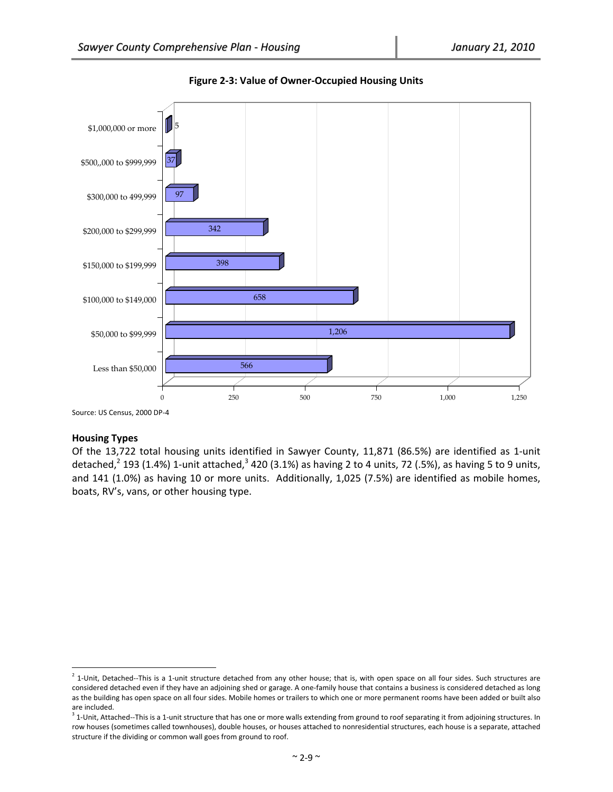



# **Housing Types**

 $\overline{a}$ 

Of the 13,722 total housing units identified in Sawyer County, 11,871 (86.5%) are identified as 1‐unit detached,<sup>2</sup> 193 (1.4%) 1-unit attached,<sup>3</sup> 420 (3.1%) as having 2 to 4 units, 72 (.5%), as having 5 to 9 units, and 141 (1.0%) as having 10 or more units. Additionally, 1,025 (7.5%) are identified as mobile homes, boats, RV's, vans, or other housing type.

Source: US Census, 2000 DP‐4

 $<sup>2</sup>$  1-Unit, Detached--This is a 1-unit structure detached from any other house; that is, with open space on all four sides. Such structures are</sup> considered detached even if they have an adjoining shed or garage. A one‐family house that contains a business is considered detached as long as the building has open space on all four sides. Mobile homes or trailers to which one or more permanent rooms have been added or built also are included.

 $3$  1-Unit, Attached--This is a 1-unit structure that has one or more walls extending from ground to roof separating it from adjoining structures. In row houses (sometimes called townhouses), double houses, or houses attached to nonresidential structures, each house is a separate, attached structure if the dividing or common wall goes from ground to roof.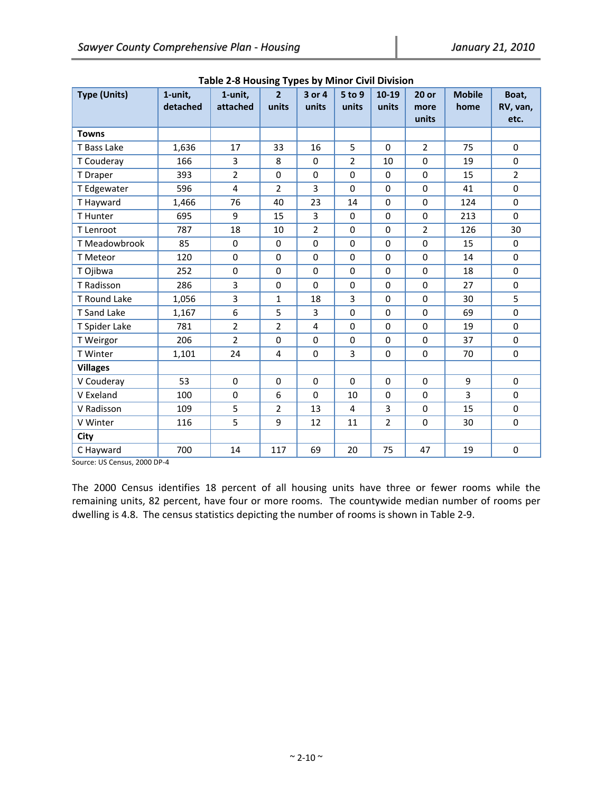| <b>Type (Units)</b> | 1-unit,<br>detached | 1-unit,<br>attached     | 1 r<br>$\overline{2}$<br>units | 3 or 4<br>units | 5 to 9<br>units | $10 - 19$<br>units | $20$ or<br>more<br>units | <b>Mobile</b><br>home | Boat,<br>RV, van,<br>etc. |
|---------------------|---------------------|-------------------------|--------------------------------|-----------------|-----------------|--------------------|--------------------------|-----------------------|---------------------------|
| <b>Towns</b>        |                     |                         |                                |                 |                 |                    |                          |                       |                           |
| T Bass Lake         | 1,636               | 17                      | 33                             | 16              | 5               | $\mathbf 0$        | $\overline{2}$           | 75                    | $\mathbf 0$               |
| T Couderay          | 166                 | 3                       | 8                              | $\Omega$        | $\overline{2}$  | 10                 | 0                        | 19                    | $\Omega$                  |
| T Draper            | 393                 | $\overline{2}$          | $\mathbf 0$                    | $\Omega$        | $\Omega$        | $\mathbf 0$        | 0                        | 15                    | $\overline{2}$            |
| T Edgewater         | 596                 | $\overline{\mathbf{4}}$ | $\overline{2}$                 | 3               | $\Omega$        | $\mathbf 0$        | 0                        | 41                    | $\mathbf 0$               |
| T Hayward           | 1,466               | 76                      | 40                             | 23              | 14              | $\mathbf 0$        | 0                        | 124                   | $\mathbf 0$               |
| T Hunter            | 695                 | 9                       | 15                             | 3               | $\mathbf 0$     | 0                  | 0                        | 213                   | $\mathbf 0$               |
| T Lenroot           | 787                 | 18                      | 10                             | $\overline{2}$  | $\mathbf 0$     | $\mathbf 0$        | $\overline{2}$           | 126                   | 30                        |
| T Meadowbrook       | 85                  | 0                       | $\mathbf 0$                    | $\mathbf{0}$    | $\Omega$        | $\Omega$           | 0                        | 15                    | $\Omega$                  |
| T Meteor            | 120                 | 0                       | $\mathbf 0$                    | $\mathbf 0$     | $\Omega$        | $\mathbf 0$        | 0                        | 14                    | $\Omega$                  |
| T Ojibwa            | 252                 | 0                       | $\mathbf 0$                    | $\mathbf 0$     | $\mathbf 0$     | $\mathbf 0$        | 0                        | 18                    | $\mathbf 0$               |
| T Radisson          | 286                 | 3                       | $\pmb{0}$                      | $\mathbf 0$     | $\mathbf 0$     | 0                  | 0                        | 27                    | 0                         |
| T Round Lake        | 1,056               | 3                       | $\mathbf{1}$                   | 18              | 3               | $\mathbf 0$        | 0                        | 30                    | 5                         |
| T Sand Lake         | 1,167               | 6                       | 5                              | 3               | 0               | $\mathbf 0$        | 0                        | 69                    | $\mathbf 0$               |
| T Spider Lake       | 781                 | $\overline{2}$          | $\overline{2}$                 | $\overline{4}$  | $\Omega$        | $\mathbf 0$        | 0                        | 19                    | $\mathbf 0$               |
| T Weirgor           | 206                 | $\overline{2}$          | $\mathbf 0$                    | $\Omega$        | $\Omega$        | $\mathbf 0$        | 0                        | 37                    | $\mathbf 0$               |
| T Winter            | 1,101               | 24                      | 4                              | $\mathbf 0$     | 3               | $\mathbf 0$        | 0                        | 70                    | $\mathbf 0$               |
| <b>Villages</b>     |                     |                         |                                |                 |                 |                    |                          |                       |                           |
| V Couderay          | 53                  | $\mathbf 0$             | $\mathbf 0$                    | $\Omega$        | $\Omega$        | $\mathbf 0$        | $\mathbf 0$              | 9                     | $\mathbf 0$               |
| V Exeland           | 100                 | 0                       | 6                              | $\Omega$        | 10              | $\mathbf 0$        | 0                        | 3                     | $\mathbf 0$               |
| V Radisson          | 109                 | 5                       | $\overline{2}$                 | 13              | $\overline{4}$  | 3                  | 0                        | 15                    | $\Omega$                  |
| V Winter            | 116                 | 5                       | 9                              | 12              | 11              | $\overline{2}$     | 0                        | 30                    | $\mathbf 0$               |
| City                |                     |                         |                                |                 |                 |                    |                          |                       |                           |
| C Hayward           | 700                 | 14                      | 117                            | 69              | 20              | 75                 | 47                       | 19                    | $\mathbf 0$               |

Source: US Census, 2000 DP‐4

The 2000 Census identifies 18 percent of all housing units have three or fewer rooms while the remaining units, 82 percent, have four or more rooms. The countywide median number of rooms per dwelling is 4.8. The census statistics depicting the number of rooms is shown in Table 2‐9.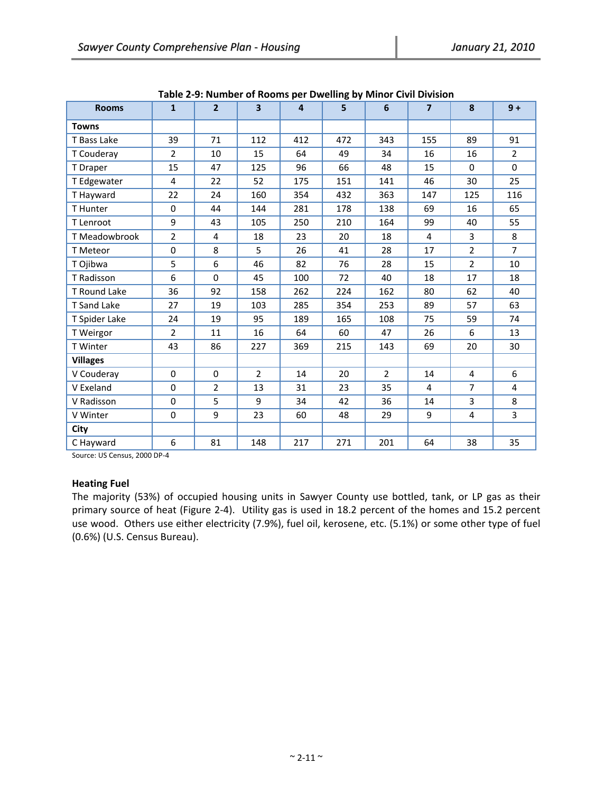| <b>Rooms</b>    | $\mathbf{1}$   | $\overline{2}$ | $\overline{\mathbf{3}}$ | $\overline{4}$ | o - 1<br>5 | 6              | $\overline{7}$ | 8              | $9+$           |
|-----------------|----------------|----------------|-------------------------|----------------|------------|----------------|----------------|----------------|----------------|
| <b>Towns</b>    |                |                |                         |                |            |                |                |                |                |
| T Bass Lake     | 39             | 71             | 112                     | 412            | 472        | 343            | 155            | 89             | 91             |
| T Couderay      | $\overline{2}$ | 10             | 15                      | 64             | 49         | 34             | 16             | 16             | $\overline{2}$ |
| T Draper        | 15             | 47             | 125                     | 96             | 66         | 48             | 15             | $\Omega$       | $\mathbf 0$    |
| T Edgewater     | $\overline{4}$ | 22             | 52                      | 175            | 151        | 141            | 46             | 30             | 25             |
| T Hayward       | 22             | 24             | 160                     | 354            | 432        | 363            | 147            | 125            | 116            |
| T Hunter        | $\Omega$       | 44             | 144                     | 281            | 178        | 138            | 69             | 16             | 65             |
| T Lenroot       | 9              | 43             | 105                     | 250            | 210        | 164            | 99             | 40             | 55             |
| T Meadowbrook   | $\overline{2}$ | 4              | 18                      | 23             | 20         | 18             | 4              | 3              | 8              |
| T Meteor        | 0              | 8              | 5                       | 26             | 41         | 28             | 17             | $\overline{2}$ | $\overline{7}$ |
| T Ojibwa        | 5              | 6              | 46                      | 82             | 76         | 28             | 15             | $\overline{2}$ | 10             |
| T Radisson      | 6              | $\mathbf 0$    | 45                      | 100            | 72         | 40             | 18             | 17             | 18             |
| T Round Lake    | 36             | 92             | 158                     | 262            | 224        | 162            | 80             | 62             | 40             |
| T Sand Lake     | 27             | 19             | 103                     | 285            | 354        | 253            | 89             | 57             | 63             |
| T Spider Lake   | 24             | 19             | 95                      | 189            | 165        | 108            | 75             | 59             | 74             |
| T Weirgor       | $\overline{2}$ | 11             | 16                      | 64             | 60         | 47             | 26             | 6              | 13             |
| T Winter        | 43             | 86             | 227                     | 369            | 215        | 143            | 69             | 20             | 30             |
| <b>Villages</b> |                |                |                         |                |            |                |                |                |                |
| V Couderay      | $\mathbf 0$    | 0              | $\overline{2}$          | 14             | 20         | $\overline{2}$ | 14             | 4              | 6              |
| V Exeland       | $\mathbf 0$    | $\overline{2}$ | 13                      | 31             | 23         | 35             | 4              | $\overline{7}$ | 4              |
| V Radisson      | $\Omega$       | 5              | 9                       | 34             | 42         | 36             | 14             | 3              | 8              |
| V Winter        | $\mathbf 0$    | 9              | 23                      | 60             | 48         | 29             | 9              | 4              | 3              |
| City            |                |                |                         |                |            |                |                |                |                |
| C Hayward       | 6              | 81             | 148                     | 217            | 271        | 201            | 64             | 38             | 35             |

**Table 2‐9: Number of Rooms per Dwelling by Minor Civil Division**

Source: US Census, 2000 DP‐4

# **Heating Fuel**

The majority (53%) of occupied housing units in Sawyer County use bottled, tank, or LP gas as their primary source of heat (Figure 2‐4). Utility gas is used in 18.2 percent of the homes and 15.2 percent use wood. Others use either electricity (7.9%), fuel oil, kerosene, etc. (5.1%) or some other type of fuel (0.6%) (U.S. Census Bureau).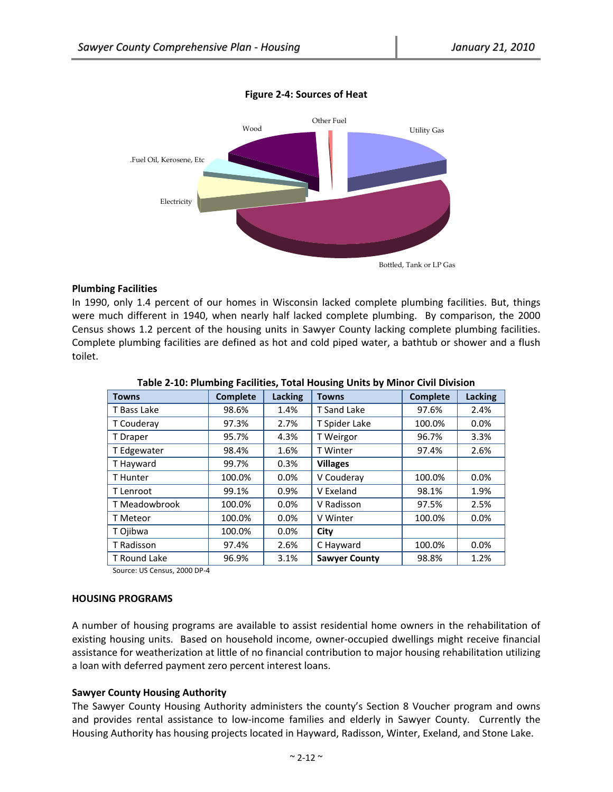

**Figure 2‐4: Sources of Heat**

## **Plumbing Facilities**

In 1990, only 1.4 percent of our homes in Wisconsin lacked complete plumbing facilities. But, things were much different in 1940, when nearly half lacked complete plumbing. By comparison, the 2000 Census shows 1.2 percent of the housing units in Sawyer County lacking complete plumbing facilities. Complete plumbing facilities are defined as hot and cold piped water, a bathtub or shower and a flush toilet.

| <b>Towns</b>  | <b>Complete</b> | Lacking | <b>Towns</b>         | <b>Complete</b> | Lacking |
|---------------|-----------------|---------|----------------------|-----------------|---------|
| T Bass Lake   | 98.6%           | 1.4%    | T Sand Lake          | 97.6%           | 2.4%    |
| T Couderay    | 97.3%           | 2.7%    | T Spider Lake        | 100.0%          | 0.0%    |
| T Draper      | 95.7%           | 4.3%    | T Weirgor            | 96.7%           | 3.3%    |
| T Edgewater   | 98.4%           | 1.6%    | <b>T</b> Winter      | 97.4%           | 2.6%    |
| T Hayward     | 99.7%           | 0.3%    | <b>Villages</b>      |                 |         |
| T Hunter      | 100.0%          | $0.0\%$ | V Couderay           | 100.0%          | $0.0\%$ |
| T Lenroot     | 99.1%           | 0.9%    | V Exeland            | 98.1%           | 1.9%    |
| T Meadowbrook | 100.0%          | 0.0%    | V Radisson           | 97.5%           | 2.5%    |
| T Meteor      | 100.0%          | 0.0%    | V Winter             | 100.0%          | 0.0%    |
| T Ojibwa      | 100.0%          | $0.0\%$ | City                 |                 |         |
| T Radisson    | 97.4%           | 2.6%    | C Hayward            | 100.0%          | 0.0%    |
| T Round Lake  | 96.9%           | 3.1%    | <b>Sawyer County</b> | 98.8%           | 1.2%    |

Source: US Census, 2000 DP‐4

#### **HOUSING PROGRAMS**

A number of housing programs are available to assist residential home owners in the rehabilitation of existing housing units. Based on household income, owner‐occupied dwellings might receive financial assistance for weatherization at little of no financial contribution to major housing rehabilitation utilizing a loan with deferred payment zero percent interest loans.

#### **Sawyer County Housing Authority**

The Sawyer County Housing Authority administers the county's Section 8 Voucher program and owns and provides rental assistance to low-income families and elderly in Sawyer County. Currently the Housing Authority has housing projects located in Hayward, Radisson, Winter, Exeland, and Stone Lake.